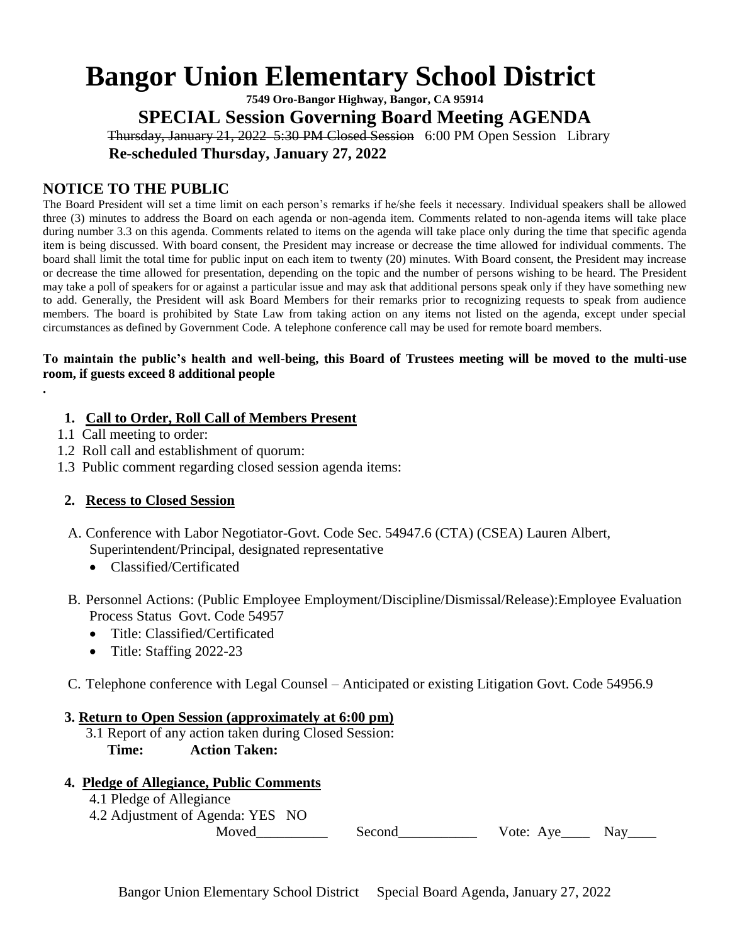# **Bangor Union Elementary School District**

**7549 Oro-Bangor Highway, Bangor, CA 95914 SPECIAL Session Governing Board Meeting AGENDA** Thursday, January 21, 2022 5:30 PM Closed Session 6:00 PM Open Session Library

 **Re-scheduled Thursday, January 27, 2022**

# **NOTICE TO THE PUBLIC**

The Board President will set a time limit on each person's remarks if he/she feels it necessary. Individual speakers shall be allowed three (3) minutes to address the Board on each agenda or non-agenda item. Comments related to non-agenda items will take place during number 3.3 on this agenda. Comments related to items on the agenda will take place only during the time that specific agenda item is being discussed. With board consent, the President may increase or decrease the time allowed for individual comments. The board shall limit the total time for public input on each item to twenty (20) minutes. With Board consent, the President may increase or decrease the time allowed for presentation, depending on the topic and the number of persons wishing to be heard. The President may take a poll of speakers for or against a particular issue and may ask that additional persons speak only if they have something new to add. Generally, the President will ask Board Members for their remarks prior to recognizing requests to speak from audience members. The board is prohibited by State Law from taking action on any items not listed on the agenda, except under special circumstances as defined by Government Code. A telephone conference call may be used for remote board members.

## **To maintain the public's health and well-being, this Board of Trustees meeting will be moved to the multi-use room, if guests exceed 8 additional people**

# **1. Call to Order, Roll Call of Members Present**

1.1 Call meeting to order:

**.**

- 1.2 Roll call and establishment of quorum:
- 1.3 Public comment regarding closed session agenda items:

# **2. Recess to Closed Session**

- A. Conference with Labor Negotiator-Govt. Code Sec. 54947.6 (CTA) (CSEA) Lauren Albert, Superintendent/Principal, designated representative
	- Classified/Certificated
- B. Personnel Actions: (Public Employee Employment/Discipline/Dismissal/Release):Employee Evaluation Process Status Govt. Code 54957
	- Title: Classified/Certificated
	- Title: Staffing 2022-23
- C. Telephone conference with Legal Counsel Anticipated or existing Litigation Govt. Code 54956.9

## **3. Return to Open Session (approximately at 6:00 pm)**

 3.1 Report of any action taken during Closed Session: **Time: Action Taken:** 

# **4. Pledge of Allegiance, Public Comments**

- 4.1 Pledge of Allegiance
- 4.2 Adjustment of Agenda: YES NO

Moved\_\_\_\_\_\_\_\_\_\_ Second\_\_\_\_\_\_\_\_\_\_\_ Vote: Aye\_\_\_\_ Nay\_\_\_\_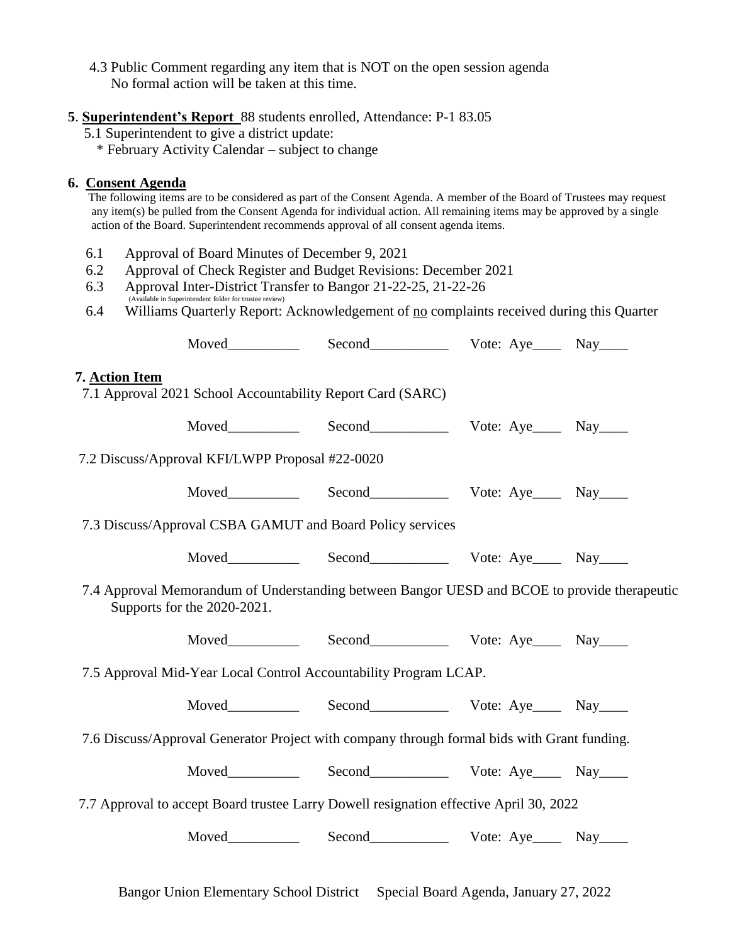- 4.3 Public Comment regarding any item that is NOT on the open session agenda No formal action will be taken at this time.
- **5**. **Superintendent's Report** 88 students enrolled, Attendance: P-1 83.05
	- 5.1 Superintendent to give a district update:
		- \* February Activity Calendar subject to change

# **6. Consent Agenda**

 The following items are to be considered as part of the Consent Agenda. A member of the Board of Trustees may request any item(s) be pulled from the Consent Agenda for individual action. All remaining items may be approved by a single action of the Board. Superintendent recommends approval of all consent agenda items.

- 6.1 Approval of Board Minutes of December 9, 2021
- 6.2 Approval of Check Register and Budget Revisions: December 2021
- 6.3 Approval Inter-District Transfer to Bangor 21-22-25, 21-22-26 able in Superintendent folder for trustee review)
- 6.4 Williams Quarterly Report: Acknowledgement of <u>no</u> complaints received during this Quarter

| 7. Action Item                                                                                                              | 7.1 Approval 2021 School Accountability Report Card (SARC) |                            |  |  |
|-----------------------------------------------------------------------------------------------------------------------------|------------------------------------------------------------|----------------------------|--|--|
|                                                                                                                             |                                                            |                            |  |  |
| 7.2 Discuss/Approval KFI/LWPP Proposal #22-0020                                                                             |                                                            |                            |  |  |
|                                                                                                                             |                                                            |                            |  |  |
| 7.3 Discuss/Approval CSBA GAMUT and Board Policy services                                                                   |                                                            |                            |  |  |
|                                                                                                                             |                                                            |                            |  |  |
| 7.4 Approval Memorandum of Understanding between Bangor UESD and BCOE to provide therapeutic<br>Supports for the 2020-2021. |                                                            |                            |  |  |
|                                                                                                                             |                                                            |                            |  |  |
| 7.5 Approval Mid-Year Local Control Accountability Program LCAP.                                                            |                                                            |                            |  |  |
|                                                                                                                             |                                                            |                            |  |  |
| 7.6 Discuss/Approval Generator Project with company through formal bids with Grant funding.                                 |                                                            |                            |  |  |
|                                                                                                                             |                                                            |                            |  |  |
| 7.7 Approval to accept Board trustee Larry Dowell resignation effective April 30, 2022                                      |                                                            |                            |  |  |
|                                                                                                                             |                                                            | Moved Second Vote: Aye Nay |  |  |
|                                                                                                                             |                                                            |                            |  |  |